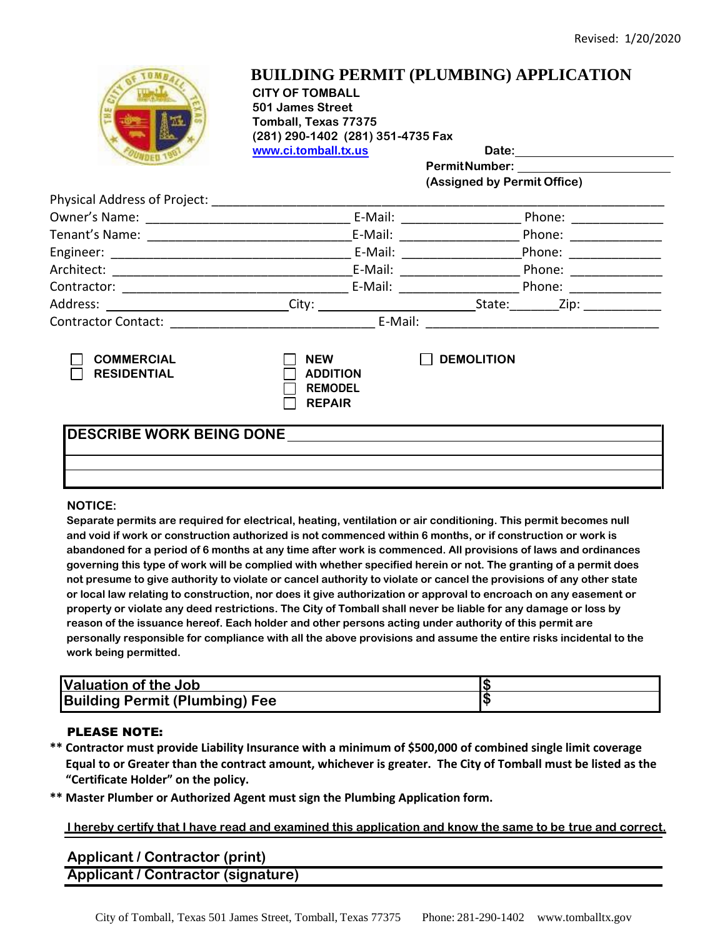

## **BUILDING PERMIT (PLUMBING) APPLICATION**

**CITY OF TOMBALL 501 James Street Tomball, Texas 77375 (281) 290-1402 (281) 351-4735 Fax www.ci.tomball.tx.us Date:** 

**PermitNumber: (Assigned by Permit Office)**

| Physical Address of Project:            |                                                 |                                                                                                                                                                                                                                                                               |  |
|-----------------------------------------|-------------------------------------------------|-------------------------------------------------------------------------------------------------------------------------------------------------------------------------------------------------------------------------------------------------------------------------------|--|
|                                         | E-Mail:                                         | Phone:                                                                                                                                                                                                                                                                        |  |
|                                         | E-Mail: _________                               | Phone: __________                                                                                                                                                                                                                                                             |  |
|                                         | E-Mail:<br>E-Mail: E-Mail:                      | Phone: ___________<br>Phone: The contract of the contract of the contract of the contract of the contract of the contract of the contract of the contract of the contract of the contract of the contract of the contract of the contract of the con<br>Phone: <u>_______</u> |  |
|                                         |                                                 |                                                                                                                                                                                                                                                                               |  |
|                                         |                                                 |                                                                                                                                                                                                                                                                               |  |
|                                         |                                                 |                                                                                                                                                                                                                                                                               |  |
|                                         | E-Mail:                                         |                                                                                                                                                                                                                                                                               |  |
| <b>COMMERCIAL</b><br><b>RESIDENTIAL</b> | <b>NEW</b><br><b>ADDITION</b><br><b>REMODEL</b> | <b>DEMOLITION</b>                                                                                                                                                                                                                                                             |  |

**REPAIR**

### **DESCRIBE WORK BEING DONE**

#### **NOTICE:**

**Separate permits are required for electrical, heating, ventilation or air conditioning. This permit becomes null and void if work or construction authorized is not commenced within 6 months, or if construction or work is abandoned for a period of 6 months at any time after work is commenced. All provisions of laws and ordinances governing this type of work will be complied with whether specified herein or not. The granting of a permit does not presume to give authority to violate or cancel authority to violate or cancel the provisions of any other state or local law relating to construction, nor does it give authorization or approval to encroach on any easement or property or violate any deed restrictions. The City of Tomball shall never be liable for any damage or loss by reason of the issuance hereof. Each holder and other persons acting under authority of this permit are personally responsible for compliance with all the above provisions and assume the entire risks incidental to the work being permitted.**

| Valuation of the Job                  |  |
|---------------------------------------|--|
| <b>Building Permit (Plumbing) Fee</b> |  |

#### PLEASE NOTE:

- **\*\* Contractor must provide Liability Insurance with a minimum of \$500,000 of combined single limit coverage Equal to or Greater than the contract amount, whichever is greater. The City of Tomball must be listed as the "Certificate Holder" on the policy.**
- **\*\* Master Plumber or Authorized Agent must sign the Plumbing Application form.**

#### **I hereby certify that I have read and examined this application and know the same to be true and correct.**

### **Applicant / Contractor (print) Applicant / Contractor (signature)**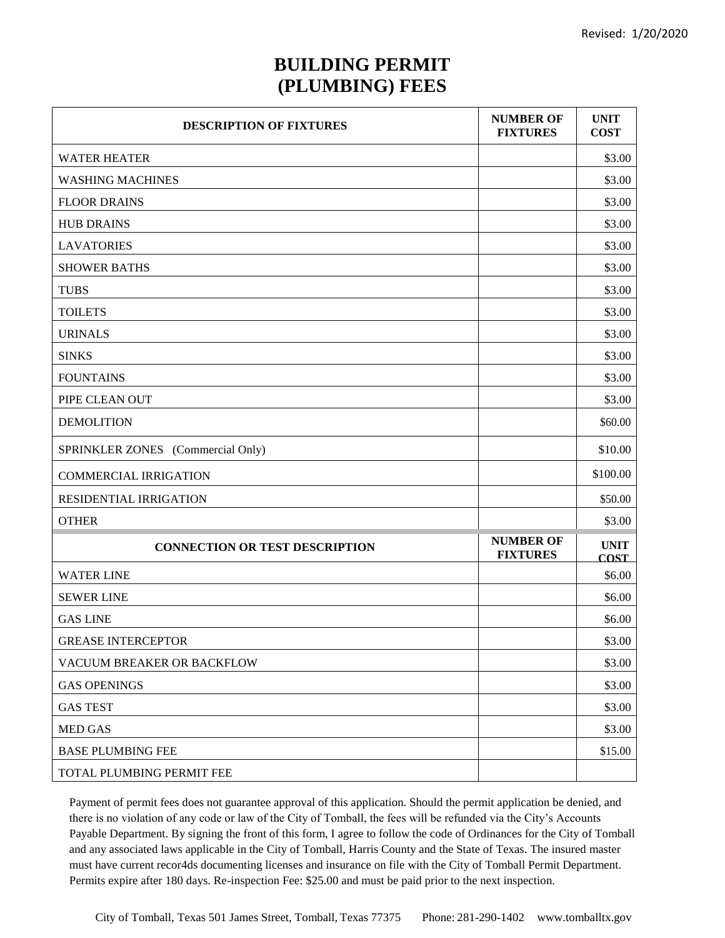## **BUILDING PERMIT (PLUMBING) FEES**

| <b>DESCRIPTION OF FIXTURES</b>        | <b>NUMBER OF</b><br><b>FIXTURES</b> | <b>UNIT</b><br><b>COST</b> |
|---------------------------------------|-------------------------------------|----------------------------|
| <b>WATER HEATER</b>                   |                                     | \$3.00                     |
| <b>WASHING MACHINES</b>               |                                     | \$3.00                     |
| <b>FLOOR DRAINS</b>                   |                                     | \$3.00                     |
| <b>HUB DRAINS</b>                     |                                     | \$3.00                     |
| <b>LAVATORIES</b>                     |                                     | \$3.00                     |
| <b>SHOWER BATHS</b>                   |                                     | \$3.00                     |
| <b>TUBS</b>                           |                                     | \$3.00                     |
| <b>TOILETS</b>                        |                                     | \$3.00                     |
| <b>URINALS</b>                        |                                     | \$3.00                     |
| <b>SINKS</b>                          |                                     | \$3.00                     |
| <b>FOUNTAINS</b>                      |                                     | \$3.00                     |
| PIPE CLEAN OUT                        |                                     | \$3.00                     |
| <b>DEMOLITION</b>                     |                                     | \$60.00                    |
| SPRINKLER ZONES (Commercial Only)     |                                     | \$10.00                    |
| <b>COMMERCIAL IRRIGATION</b>          |                                     | \$100.00                   |
| RESIDENTIAL IRRIGATION                |                                     | \$50.00                    |
| <b>OTHER</b>                          |                                     | \$3.00                     |
| <b>CONNECTION OR TEST DESCRIPTION</b> | <b>NUMBER OF</b><br><b>FIXTURES</b> | <b>UNIT</b><br><b>COST</b> |
| <b>WATER LINE</b>                     |                                     | \$6.00                     |
| <b>SEWER LINE</b>                     |                                     | \$6.00                     |
| <b>GAS LINE</b>                       |                                     | \$6.00                     |
| <b>GREASE INTERCEPTOR</b>             |                                     | \$3.00                     |
| VACUUM BREAKER OR BACKFLOW            |                                     | \$3.00                     |
| <b>GAS OPENINGS</b>                   |                                     | \$3.00                     |
| <b>GAS TEST</b>                       |                                     | \$3.00                     |
| <b>MED GAS</b>                        |                                     | \$3.00                     |
| <b>BASE PLUMBING FEE</b>              |                                     | \$15.00                    |
| TOTAL PLUMBING PERMIT FEE             |                                     |                            |

Payment of permit fees does not guarantee approval of this application. Should the permit application be denied, and there is no violation of any code or law of the City of Tomball, the fees will be refunded via the City's Accounts Payable Department. By signing the front of this form, I agree to follow the code of Ordinances for the City of Tomball and any associated laws applicable in the City of Tomball, Harris County and the State of Texas. The insured master must have current recor4ds documenting licenses and insurance on file with the City of Tomball Permit Department. Permits expire after 180 days. Re-inspection Fee: \$25.00 and must be paid prior to the next inspection.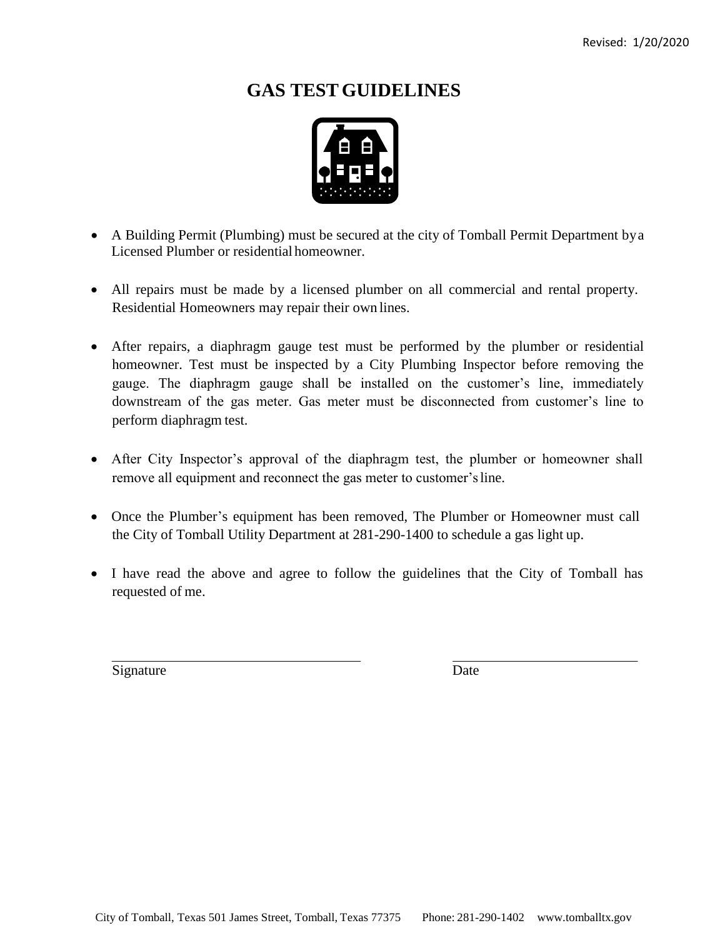# **GAS TEST GUIDELINES**



- A Building Permit (Plumbing) must be secured at the city of Tomball Permit Department bya Licensed Plumber or residential homeowner.
- All repairs must be made by a licensed plumber on all commercial and rental property. Residential Homeowners may repair their own lines.
- After repairs, a diaphragm gauge test must be performed by the plumber or residential homeowner. Test must be inspected by a City Plumbing Inspector before removing the gauge. The diaphragm gauge shall be installed on the customer's line, immediately downstream of the gas meter. Gas meter must be disconnected from customer's line to perform diaphragm test.
- After City Inspector's approval of the diaphragm test, the plumber or homeowner shall remove all equipment and reconnect the gas meter to customer'sline.
- Once the Plumber's equipment has been removed, The Plumber or Homeowner must call the City of Tomball Utility Department at 281-290-1400 to schedule a gas light up.
- I have read the above and agree to follow the guidelines that the City of Tomball has requested of me.

Signature Date